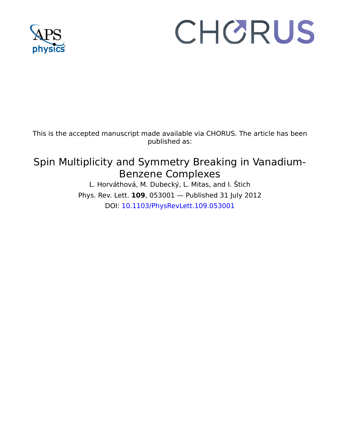

## CHORUS

This is the accepted manuscript made available via CHORUS. The article has been published as:

## Spin Multiplicity and Symmetry Breaking in Vanadium-Benzene Complexes

L. Horváthová, M. Dubecký, L. Mitas, and I. Štich Phys. Rev. Lett. **109**, 053001 — Published 31 July 2012 DOI: [10.1103/PhysRevLett.109.053001](http://dx.doi.org/10.1103/PhysRevLett.109.053001)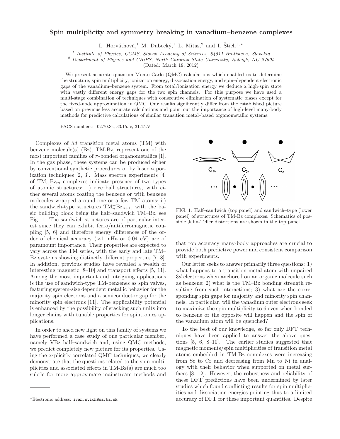## Spin multiplicity and symmetry breaking in vanadium–benzene complexes

L. Horváthová,<sup>1</sup> M. Dubecký,<sup>1</sup> L. Mitas,<sup>2</sup> and I. Štich<sup>1,\*</sup>

<sup>1</sup> Institute of Physics, CCMS, Slovak Academy of Sciences, 84511 Bratislava, Slovakia

 $2$  Department of Physics and CHiPS, North Carolina State University, Raleigh, NC 27695

(Dated: March 19, 2012)

We present accurate quantum Monte Carlo (QMC) calculations which enabled us to determine the structure, spin multiplicity, ionization energy, dissociation energy, and spin–dependent electronic gaps of the vanadium–benzene system. From total/ionization energy we deduce a high-spin state with vastly different energy gaps for the two spin channels. For this purpose we have used a multi-stage combination of techniques with consecutive elimination of systematic biases except for the fixed-node approximation in QMC. Our results significantly differ from the established picture based on previous less accurate calculations and point out the importance of high-level many-body methods for predictive calculations of similar transition metal–based organometallic systems.

PACS numbers: 02.70.Ss, 33.15.-e, 31.15.V-

Meridian metal atoms (TM) with<br>
(s) (Bz), TM-Bz, represent one of the<br>
millies of  $\pi$ -bonded organometallics [1].<br>
these systems can be produced either<br>
millete procedures or by laser vapor-<br>
[2, 3]. Mass spectra experim methods for predictive calculations of similar transition metal-hosed organometalic systems.<br>
PACS numbers 02.70.8s, 33.15.4, 31.15.V-<br>
xes of  $3d$  transition metal atoms (TM) with<br>
NOS concelled (Bg.), TM-Bx, represent o Complexes of 3d transition metal atoms (TM) with benzene molecule(s) (Bz), TM-Bz, represent one of the most important families of  $\pi$ -bonded organometallics [1]. In the gas phase, these systems can be produced either by conventional synthetic procedures or by laser vaporization techniques [2, 3]. Mass spectra experiments [4] of  $TM_n^+Bz_m$  complexes indicate presence of two types of atomic structures: i) rice–ball structures, with either several atoms coating the benzene or with benzene molecules wrapped around one or a few TM atoms; ii) the sandwich-type structures  $TM_n^+Bz_{n+1}$ , with the basic building block being the half–sandwich TM–Bz, see Fig. 1. The sandwich structures are of particular interest since they can exhibit ferro/antiferromagnetic coupling [5, 6] and therefore energy differences of the order of chemical accuracy ( $\approx$ 1 mHa or 0.04 eV) are of paramount importance. Their properties are expected to vary across the TM series, with the early and late TM– Bz systems showing distinctly different properties [7, 8]. In addition, previous studies have revealed a wealth of interesting magnetic [8–10] and transport effects [5, 11]. Among the most important and intriguing applications is the use of sandwich-type TM-benzenes as spin valves, featuring system-size dependent metallic behavior for the majority spin electrons and a semiconductor gap for the minority spin electrons [11]. The applicability potential is enhanced by the possibility of stacking such units into longer chains with tunable properties for spintronics applications.

In order to shed new light on this family of systems we have performed a case study of one particular member, namely VBz half–sandwich and, using QMC methods, we predict completely new picture for its properties. Using the explicitly correlated QMC techniques, we clearly demonstrate that the questions related to the spin multiplicities and associated effects in TM-Bz(s) are much too subtle for more approximate mainstream methods and



FIG. 1: Half–sandwich (top panel) and sandwich–type (lower panel) of structures of TM-Bz complexes. Schematics of possible Jahn-Teller distortions are shown in the top panel.

that top accuracy many-body approaches are crucial to provide both predictive power and consistent comparison with experiments.

Our letter seeks to answer primarily three questions: 1) what happens to a transition metal atom with unpaired 3d electrons when anchored on an organic molecule such as benzene; 2) what is the TM–Bz bonding strength resulting from such interactions; 3) what are the corresponding spin gaps for majority and minority spin channels. In particular, will the vanadium outer electrons seek to maximize the spin multiplicity to 6 even when bonded to benzene or the opposite will happen and the spin of the vanadium atom will be quenched?

To the best of our knowledge, so far only DFT techniques have been applied to answer the above questions [5, 6, 8–10]. The earlier studies suggested that magnetic moments/spin multiplicities of transition metal atoms embedded in TM-Bz complexes were increasing from Sc to Cr and decreasing from Mn to Ni in analogy with their behavior when supported on metal surfaces [8, 12]. However, the robustness and reliability of these DFT predictions have been undermined by later studies which found conflicting results for spin multiplicities and dissociation energies pointing thus to a limited accuracy of DFT for these important quantities. Despite

<sup>∗</sup>Electronic address: ivan.stich@savba.sk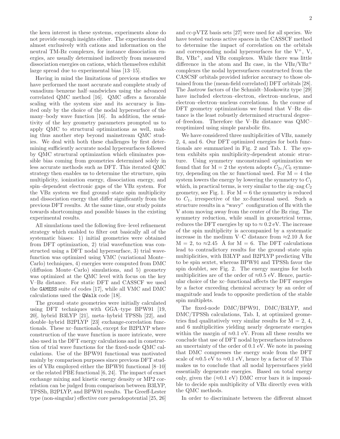the keen interest in these systems, experiments alone do not provide enough insights either. The experiments deal almost exclusively with cations and information on the neutral TM-Bz complexes, for instance dissociation energies, are usually determined indirectly from measured dissociation energies on cations, which themselves exhibit large spread due to experimental bias [13–15].

Having in mind the limitations of previous studies we have performed the most accurate and complete study of vanadium–benzene half–sandwiches using the advanced correlated QMC method [16]. QMC offers a favorable scaling with the system size and its accuracy is limited only by the choice of the nodal hypersurface of the many–body wave function [16]. In addition, the sensitivity of the key geometry parameters prompted us to apply QMC to structural optimizations as well, making thus another step beyond mainstream QMC studies. We deal with both these challenges by first determining sufficiently accurate nodal hypersurfaces followed by QMC structural optimization which eliminates possible bias coming from geometries determined solely in less accurate methods such as DFT. This iterated QMC strategy then enables us to determine the structure, spin multiplicity, ionization energy, dissociation energy, and spin–dependent electronic gaps of the VBz system. For the VBz system we find ground–state spin multiplicity and dissociation energy that differ significantly from the previous DFT results. At the same time, our study points towards shortcomings and possible biases in the existing experimental results.

All simulations used the following five–level refinement strategy which enabled to filter out basically all of the systematic biases: 1) initial geometries were obtained from DFT optimization, 2) trial wavefunction was constructed using a DFT nodal hypersurface, 3) trial wavefunction was optimized using VMC (variational Monte– Carlo) techniques, 4) energies were computed from DMC (diffusion Monte–Carlo) simulations, and 5) geometry was optimized at the QMC level with focus on the key V–Bz distance. For static DFT and CASSCF we used the GAMESS suite of codes [17], while all VMC and DMC calculations used the QWalk code [18].

The ground–state geometries were initially calculated using DFT techniques with GGA–type BPW91 [19, 20], hybrid B3LYP [21], meta–hybrid TPSSh [22], and double–hybrid B2PLYP [23] exchange-correlation functionals. These xc–functionals, except for B2PLYP where construction of the wave function is more intricate, were also used in the DFT energy calculations and in construction of trial wave functions for the fixed-node QMC calculations. Use of the BPW91 functional was motivated mainly by comparison purposes since previous DFT studies of VBz employed either the BPW91 functional [8–10] or the related PBE functional [6, 24]. The impact of exact exchange mixing and kinetic energy density or MP2 correlation can be judged from comparison between B3LYP, TPSSh, B2PLYP, and BPW91 results. The Greeff-Lester type (non-singular) effective core pseudopotential [25, 26]

and cc-pVTZ basis sets [27] were used for all species. We have tested various active spaces in the CASSCF method to determine the impact of correlation on the orbitals and corresponding nodal hypersurfaces for the  $V^+$ , V,  $Bz$ ,  $VBz^+$ , and  $VBz$  complexes. While there was little difference in the atom and Bz case, in the  $VBz/VBz^+$ complexes the nodal hypersurfaces constructed from the CASCSF orbitals provided inferior accuracy to those obtained from the (mean-field correlated) DFT orbitals [28]. The Jastrow factors of the Schmidt–Moskowitz type [29] have included electron–electron, electron–nucleus, and electron–electron–nucleus correlations. In the course of DFT geometry optimizations we found that V–Bz distance is the least robustly determined structural degree– of–freedom. Therefore the V–Bz distance was QMC– reoptimized using simple parabolic fits.

We have considered three multiplicities of VBz, namely 2, 4, and 6. Our DFT optimized energies for both functionals are summarized in Fig. 2 and Tab. I. The system exhibits spin multiplicity-dependent atomic structure. Using symmetry unconstrained optimization we found that for  $M = 2$  the system adopts  $C_{2v}/C_6$  symmetry, depending on the xc functional used. For  $M = 4$  the system lowers the energy by lowering the symmetry to  $C_1$ which, in practical terms, is very similar to the zig–zag  $C_2$ geometry, see Fig. 1. For  $M = 6$  the symmetry is reduced to  $C_1$ , irrespective of the xc-functional used. Such a structure results in a "wavy" configuration of Bz with the V atom moving away from the center of the Bz ring. The symmetry reduction, while small in geometrical terms, reduces the DFT energies by up to  $\approx 0.2$  eV. The increase of the spin multiplicity is accompanied by a systematic increase in the medium V–C distance from  $\approx 2.10 \text{ Å}$  for  $M = 2$ , to  $\approx 2.45$  Å for  $M = 6$ . The DFT calculations lead to contradictory results for the ground–state spin multiplicities, with B3LYP and B2PLYP predicting VBz to be spin sextet, whereas BPW91 and TPSSh favor the spin doublet, see Fig. 2. The energy margins for both multiplicities are of the order of  $\approx 0.5$  eV. Hence, particular choice of the xc–functional affects the DFT energies by a factor exceeding chemical accuracy by an order of magnitude and leads to opposite prediction of the stable spin multiplets.

The fixed-node DMC/BPW91, DMC/B3LYP, and DMC/TPSSh calculations, Tab. I, at optimized geometries find qualitatively very similar results for  $M = 2, 4$ , and 6 multiplicities yielding nearly degenerate energies within the margin of  $\approx 0.1$  eV. From all these results we conclude that use of DFT nodal hypersurfaces introduces an uncertainty of the order of 0.1 eV. We note in passing that DMC compresses the energy scale from the DFT scale of  $\approx 0.5$  eV to  $\approx 0.1$  eV, hence by a factor of 5! This makes us to conclude that all nodal hypersurfaces yield essentially degenerate energies. Based on total energy only, given the  $(\approx 0.1 \text{ eV})$  DMC error bars it is impossible to decide spin multiplicity of VBz directly even with the QMC methods.

In order to discriminate between the different almost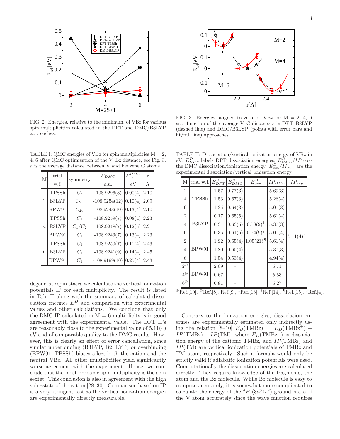

FIG. 2: Energies, relative to the minimum, of VBz for various spin multiplicities calculated in the DFT and DMC/B3LYP approaches.

TABLE I: QMC energies of VBz for spin multiplicities  $M = 2$ , 4, 6 after QMC optimization of the V–Bz distance, see Fig. 3. r is the average distance between V and benzene C atoms.

| M              | trial        | symmetry       | $E_{DMC}$               | $E_{rel}^{DMC}$ | r    |
|----------------|--------------|----------------|-------------------------|-----------------|------|
|                | w.f.         |                | a.u.                    | eV              | Å    |
| $\overline{2}$ | TPSSh        | C <sub>6</sub> | $-108.9296(8)$          | 0.00(4)         | 2.10 |
|                | <b>B3LYP</b> | $C_{2n}$       | $-108.9254(12)$ 0.10(4) |                 | 2.09 |
|                | BPW91        | $C_{2n}$       | $-108.9243(10)$ 0.13(4) |                 | 2.10 |
| $\overline{4}$ | TPSSh        | $C_1$          | $-108.9259(7)$          | 0.08(4)         | 2.23 |
|                | <b>B3LYP</b> | $C_1/C_2$      | $-108.9248(7)$          | 0.12(5)         | 2.21 |
|                | BPW91        | $C_1$          | $-108.9243(7)$          | 0.13(4)         | 2.23 |
| 6              | TPSSh        | $C_1$          | $-108.9250(7)$          | 0.11(4)         | 2.43 |
|                | <b>B3LYP</b> | $C_1$          | $-108.9241(9)$          | 0.14(4)         | 2.45 |
|                | BPW91        | $C_1$          | $-108.9199(10)$ 0.25(4) |                 | 2.43 |

degenerate spin states we calculate the vertical ionization potentials IP for each multiplicity. The result is listed in Tab. II along with the summary of calculated dissociation energies  $E^D$  and comparison with experimental values and other calculations. We conclude that only the DMC IP calculated in  $M = 6$  multiplicity is in good agreement with the experimental value. The DFT IPs are reasonably close to the experimental value of 5.11(4) eV and of comparable quality to the DMC results. However, this is clearly an effect of error cancellation, since similar underbinding (B3LYP, B2PLYP) or overbinding (BPW91, TPSSh) biases affect both the cation and the neutral VBz. All other multiplicities yield significantly worse agreement with the experiment. Hence, we conclude that the most probable spin multiplicity is the spin sextet. This conclusion is also in agreement with the high spin–state of the cation [28, 30]. Comparison based on IP is a very stringent test as the vertical ionization energies are experimentally directly measurable.



FIG. 3: Energies, aligned to zero, of VBz for  $M = 2, 4, 6$ as a function of the average V–C distance  $r$  in DFT–B3LYP (dashed line) and DMC/B3LYP (points with error bars and fit/full line) approaches.

TABLE II: Dissociation/vertical ionization energy of VBz in eV.  $E_{DFT}^D$  labels DFT dissociation energies,  $E_{DMC}^D / IP_{DMC}$ the DMC dissociation/ionization energy.  $E_{exp}^{D}/IP_{exp}$  are the experimental dissociation/vertical ionization energy.

| M              | trial w.f.                                                                                             | $E_{DFT}^D$ | ${\cal E}^{D}_{DMC}$ | $E_{exp}^D$             | $IP_{DMC}$ | $IP_{exp}$        |  |  |  |
|----------------|--------------------------------------------------------------------------------------------------------|-------------|----------------------|-------------------------|------------|-------------------|--|--|--|
| $\overline{2}$ |                                                                                                        | 1.57        | 0.77(3)              |                         | 5.69(3)    |                   |  |  |  |
| $\overline{4}$ | $TPSSh$                                                                                                | 1.53        | 0.67(3)              |                         | 5.26(4)    |                   |  |  |  |
| 6              |                                                                                                        | 1.35        | 0.64(3)              |                         | 5.01(3)    |                   |  |  |  |
| $\sqrt{2}$     |                                                                                                        | 0.17        | 0.65(5)              |                         | 5.61(4)    |                   |  |  |  |
| $\overline{4}$ | <b>B3LYP</b>                                                                                           | 0.31        | 0.63(5)              | $0.78(9)^{\ddagger}$    | 5.37(3)    |                   |  |  |  |
| 6              |                                                                                                        | 0.35        | 0.61(5)              | $0.74(9)^{\S}$          | 5.01(4)    | $5.11(4)^{\circ}$ |  |  |  |
| $\overline{2}$ |                                                                                                        | 1.92        | 0.65(4)              | $1.05(21)$ <sup>¶</sup> | 5.61(4)    |                   |  |  |  |
| $\,4\,$        | BPW91                                                                                                  | 1.80        | 0.65(4)              |                         | 5.37(3)    |                   |  |  |  |
| 6              |                                                                                                        | 1.54        | 0.53(4)              |                         | 4.94(4)    |                   |  |  |  |
| $2^{\oplus}$   |                                                                                                        | 2.09        |                      |                         | 5.71       |                   |  |  |  |
| $4^{\oplus}$   | BPW91                                                                                                  | 0.67        |                      |                         | 5.53       |                   |  |  |  |
| $6^\Theta$     |                                                                                                        | 0.81        |                      |                         | 5.27       |                   |  |  |  |
|                | $\S$ Ref [14]<br>$\circ$ F<br>$\pm$ Ref [13]<br>$\P$ Ref [15]<br>$\Theta$ Ref [8]<br>Ref[0]<br>Bef[10] |             |                      |                         |            |                   |  |  |  |

⊕Ref.[10], ⊖Ref.[8], Ref.[9], ‡Ref.[13], <sup>§</sup>Ref.[14], ¶Ref.[15], °Ref.[4].

Contrary to the ionization energies, dissociation energies are experimentally estimated only indirectly using the relation [8–10]  $E_D(\text{TMBz}) = E_D(\text{TMBz}^+) +$  $IP(TMBz) - IP(TM)$ , where  $E_D(TMBz^+)$  is dissociation energy of the cationic TMBz, and IP(TMBz) and IP(TM) are vertical ionization potentials of TMBz and TM atom, respectively. Such a formula would only be strictly valid if adiabatic ionization potentials were used. Computationally the dissociation energies are calculated directly. They require knowledge of the fragments, the atom and the Bz molecule. While Bz molecule is easy to compute accurately, it is somewhat more complicated to calculate the energy of the  ${}^{4}F$  ( $3d^{3}4s^{2}$ ) ground–state of the V atom accurately since the wave function requires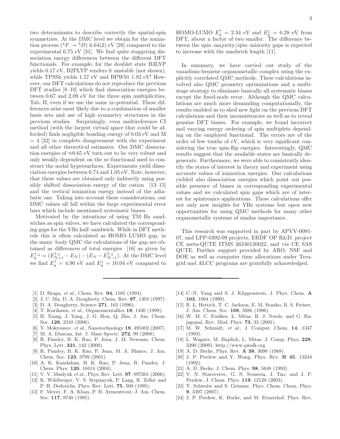two determinants to describe correctly the spatial-spin symmetries. At the DMC level we obtain for the ionization process  $(^4F \rightarrow ^5D)$  6.64(2) eV [28] compared to the experimental 6.75 eV [31]. We find quite staggering dissociation energy differences between the different DFT functionals. For example, for the doublet state B3LYP yields 0.17 eV, B2PLYP renders it unstable (not shown), while TPSSh yields 1.57 eV and BPW91 1.92 eV! However, our DFT calculations do not reproduce the previous DFT studies [8–10] which find dissociation energies between 0.67 and 2.09 eV for the three spin multiplicities, Tab. II, even if we use the same xc-potential. These differences arise most likely due to a combination of smaller basis sets and use of high–symmetry structures in the previous studies. Surprisingly, even multireference CI method (with the largest virtual space that could be afforded) finds negligible bonding energy of 0.03 eV and M  $= 4$  [32] in complete disagreement with the experiment and all other theoretical estimates. Our DMC dissociation energies of  $\approx 0.65$  eV turn out to be very robust and only weakly dependent on the xc-functional used to construct the nodal hypersurfaces. Experiments yield dissociation energies between 0.74 and 1.05 eV. Note, however, that these values are obtained only indirectly using possibly shifted dissociation energy of the cation [13–15] and the vertical ionization energy instead of the adiabatic one. Taking into account these considerations, our DMC values all fall within the large experimental error bars which include mentioned systematic biases.

Motivated by the intentions of using TM–Bz sandwiches as spin valves, we have calculated the corresponding gaps for the VBz half–sandwich. While in DFT methods this is often calculated as HOMO–LUMO gap, in the many–body QMC the calculations of the gap are obtained as differences of total energies [16] as given by  $E_j^{\uparrow,\downarrow} = (E_{N+1}^{\uparrow,\downarrow} - E_N) - (E_N - E_{N-1}^{\uparrow,\downarrow}).$  At the DMC level we find  $E_g^{\uparrow} = 4.90$  eV and  $E_g^{\downarrow} = 10.04$  eV compared to

HOMO-LUMO  $E_g^{\uparrow} = 2.34$  eV and  $E_g^{\downarrow} = 6.28$  eV from DFT, about a factor of two smaller. The difference between the spin–majority/spin–minority gaps is expected to increase with the sandwich length [11].

In summary, we have carried out study of the vanadium-benzene organometallic complex using the explicitly correlated QMC methods. These calculations involved also QMC geometry optimizations and a multistage strategy to eliminate basically all systematic biases except the fixed-node error. Although the QMC calculations are much more demanding computationally, the results enabled us to shed new light on the previous DFT calculations and their inconsistencies as well as to reveal genuine DFT biases. For example, we found incorrect and varying energy ordering of spin multiplets depending on the employed functional. The errors are of the order of few tenths of eV, which is very significant considering the true spin-flip energies. Interestingly, QMC results suggest that the available states are basically degenerate. Furthermore, we were able to consistently identify the states of interest in theory and experiment using accurate values of ionization energies. Our calculations yielded also dissociation energies which point out possible presence of biases in corresponding experimental values and we calculated spin gaps which are of interest for spintronics applications. These calculations offer not only new insights for VBz systems but open new opportunities for using QMC methods for many other organometallic systems of similar importance.

This research was supported in part by APVV-0091- 07, and LPP-0392-09 projects, ERDF OP R&D, project CE meta-QUTE ITMS 26240120022, and via CE SAS QUTE. Further support provided by ARO, NSF and DOE as well as computer time allocations under Teragrid and ALCC programs are gratefully acknowledged.

- [1] D. Braga, et al., Chem. Rev. **94**, 1585 (1994).
- [2] J. C. Ma, D. A. Dougherty, Chem. Rev. 97, 1303 (1997).
- [3] D. A. Dougherty, Science 271, 163 (1996).
- [4] T. Kurikawa, et al., Organomentallics 18, 1430 (1999).
- [5] H. Xiang, J. Yang, J. G. Hou, Q. Zhu, J. Am. Chem. Soc. 128, 2310 (2006).
- [6] Y. Mokrousov, et al., Nanotechnology **18**, 495402 (2007).
- M. A. Duncan, Int. J. Mass Spectr. 272, 99 (2008).
- [8] R. Pandey, B. K. Rao, P. Jena, J. M. Newsam, Chem. Phys. Lett. 321, 142 (2000).
- [9] R. Pandey, B. K. Rao, P. Jena, M. A. Blanco, J. Am. Chem. Soc. 123, 3799 (2001).
- [10] A. K. Kandalam, B. K. Rao, P. Jena, R. Pandey, J. Chem. Phys. 120, 10414 (2004).
- [11] V. V. Maslyuk et al., Phys. Rev. Lett. **97**, 097201 (2006).
- [12] K. Wildberger, V. S. Stepanyuk, P. Lang, R. Zeller and P. H. Dederichs, Phys. Rev. Lett. 75, 509 (1995).
- [13] F. Meyer, F. A. Khan, P. B. Armentrout, J. Am. Chem. Soc. 117, 9740 (1995).
- [14] C.-N. Yang and S. J. Klippenstein, J. Phys. Chem. A 103, 1094 (1999).
- [15] R. L. Hettich, T. C. Jackson, E. M. Stanko, B. S. Freiser, J. Am. Chem. Soc. 108, 5086 (1986).
- [16] W. M. C. Foulkes, L. Mitas, R. J. Needs, and G. Rajagopal, Rev. Mod. Phys. 73, 33 (2001).
- [17] M. W. Schmidt, et al., J. Comput. Chem. 14, 1347  $(1993)$ .
- [18] L. Wagner, M. Bajdich, L. Mitas, J. Comp. Phys. 228, 3390 (2009), http://www.qwalk.org
- [19] A. D. Becke, Phys. Rev. **A 38**, 3098 (1988).
- [20] J. P. Perdew and Y. Wang, Phys. Rev. B 45, 13244 (1992).
- [21] A. D. Becke, J. Chem. Phys. 98, 5648 (1993).
- [22] V. N. Staroverov, G. N. Scuseria, J. Tao, and J. P. Perdew, J. Chem. Phys. 119, 12129 (2003).
- [23] T. Schwabe and S. Grimme, Phys. Chem. Chem. Phys. 9, 3397 (2007).
- [24] J. P. Perdew, K. Burke, and M. Ernzerhof, Phys. Rev.